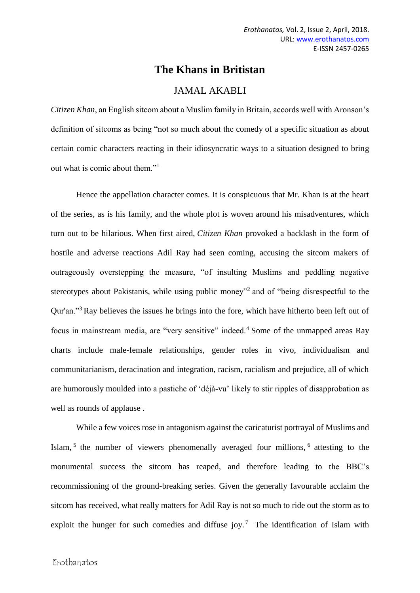# **The Khans in Britistan**

## JAMAL AKABLI

*Citizen Khan*, an English sitcom about a Muslim family in Britain, accords well with Aronson's definition of sitcoms as being "not so much about the comedy of a specific situation as about certain comic characters reacting in their idiosyncratic ways to a situation designed to bring out what is comic about them."<sup>1</sup>

Hence the appellation character comes. It is conspicuous that Mr. Khan is at the heart of the series, as is his family, and the whole plot is woven around his misadventures, which turn out to be hilarious. When first aired, *Citizen Khan* [provoked a backlash in the form of](http://www.theguardian.com/tv-and-radio/tvandradioblog/2012/aug/30/citizen-khan-who-was-actually-offended)  [hostile and adverse reactions Adil Ray had seen coming, accusing the sitcom makers of](http://www.theguardian.com/tv-and-radio/tvandradioblog/2012/aug/30/citizen-khan-who-was-actually-offended)  [outrageously overstepping the measure, "of insulting Muslims and peddling negative](http://www.theguardian.com/tv-and-radio/tvandradioblog/2012/aug/30/citizen-khan-who-was-actually-offended)  [stereotypes about Pakistanis, while using public money"](http://www.theguardian.com/tv-and-radio/tvandradioblog/2012/aug/30/citizen-khan-who-was-actually-offended)<sup>2</sup> and of "being disrespectful to the Qur'an."<sup>3</sup> Ray believes the issues he brings into the fore, which have hitherto been left out of focus in mainstream media, are "very sensitive" indeed.<sup>4</sup> Some of the unmapped areas Ray charts include male-female relationships, gender roles in vivo, individualism and communitarianism, deracination and integration, racism, racialism and prejudice, all of which are humorously moulded into a pastiche of 'déjà-vu' likely to stir ripples of disapprobation as well as rounds of applause .

While a few voices rose in antagonism against the caricaturist portrayal of Muslims and Islam, <sup>5</sup> the number of viewers phenomenally averaged four millions, <sup>6</sup> attesting to the monumental success the sitcom has reaped, and therefore leading to the BBC's recommissioning of the ground-breaking series. Given the generally favourable acclaim the sitcom has received, what really matters for Adil Ray is not so much to ride out the storm as to exploit the hunger for such comedies and diffuse joy.<sup>7</sup> The identification of Islam with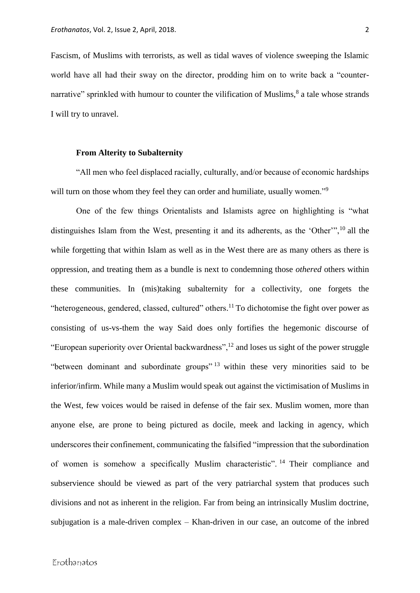Fascism, of Muslims with terrorists, as well as tidal waves of violence sweeping the Islamic world have all had their sway on the director, prodding him on to write back a "counternarrative" sprinkled with humour to counter the vilification of Muslims,<sup>8</sup> a tale whose strands I will try to unravel.

#### **From Alterity to Subalternity**

"All men who feel displaced racially, culturally, and/or because of economic hardships will turn on those whom they feel they can order and humiliate, usually women."<sup>9</sup>

One of the few things Orientalists and Islamists agree on highlighting is "what distinguishes Islam from the West, presenting it and its adherents, as the 'Other'",<sup>10</sup> all the while forgetting that within Islam as well as in the West there are as many others as there is oppression, and treating them as a bundle is next to condemning those *othered* others within these communities. In (mis)taking subalternity for a collectivity, one forgets the "heterogeneous, gendered, classed, cultured" others.<sup>11</sup> To dichotomise the fight over power as consisting of us-vs-them the way Said does only fortifies the hegemonic discourse of "European superiority over Oriental backwardness",  $^{12}$  and loses us sight of the power struggle "between dominant and subordinate groups" <sup>13</sup> within these very minorities said to be inferior/infirm. While many a Muslim would speak out against the victimisation of Muslims in the West, few voices would be raised in defense of the fair sex. Muslim women, more than anyone else, are prone to being pictured as docile, meek and lacking in agency, which underscores their confinement, communicating the falsified "impression that the subordination of women is somehow a specifically Muslim characteristic". <sup>14</sup> Their compliance and subservience should be viewed as part of the very patriarchal system that produces such divisions and not as inherent in the religion. Far from being an intrinsically Muslim doctrine, subjugation is a male-driven complex – Khan-driven in our case, an outcome of the inbred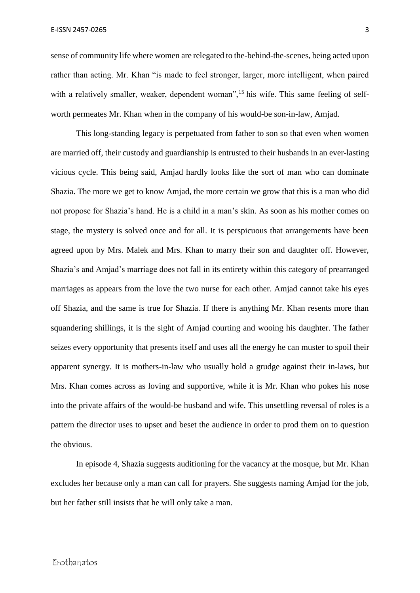sense of community life where women are relegated to the-behind-the-scenes, being acted upon rather than acting. Mr. Khan "is made to feel stronger, larger, more intelligent, when paired with a relatively smaller, weaker, dependent woman", <sup>15</sup> his wife. This same feeling of selfworth permeates Mr. Khan when in the company of his would-be son-in-law, Amjad.

This long-standing legacy is perpetuated from father to son so that even when women are married off, their custody and guardianship is entrusted to their husbands in an ever-lasting vicious cycle. This being said, Amjad hardly looks like the sort of man who can dominate Shazia. The more we get to know Amjad, the more certain we grow that this is a man who did not propose for Shazia's hand. He is a child in a man's skin. As soon as his mother comes on stage, the mystery is solved once and for all. It is perspicuous that arrangements have been agreed upon by Mrs. Malek and Mrs. Khan to marry their son and daughter off. However, Shazia's and Amjad's marriage does not fall in its entirety within this category of prearranged marriages as appears from the love the two nurse for each other. Amjad cannot take his eyes off Shazia, and the same is true for Shazia. If there is anything Mr. Khan resents more than squandering shillings, it is the sight of Amjad courting and wooing his daughter. The father seizes every opportunity that presents itself and uses all the energy he can muster to spoil their apparent synergy. It is mothers-in-law who usually hold a grudge against their in-laws, but Mrs. Khan comes across as loving and supportive, while it is Mr. Khan who pokes his nose into the private affairs of the would-be husband and wife. This unsettling reversal of roles is a pattern the director uses to upset and beset the audience in order to prod them on to question the obvious.

In episode 4, Shazia suggests auditioning for the vacancy at the mosque, but Mr. Khan excludes her because only a man can call for prayers. She suggests naming Amjad for the job, but her father still insists that he will only take a man.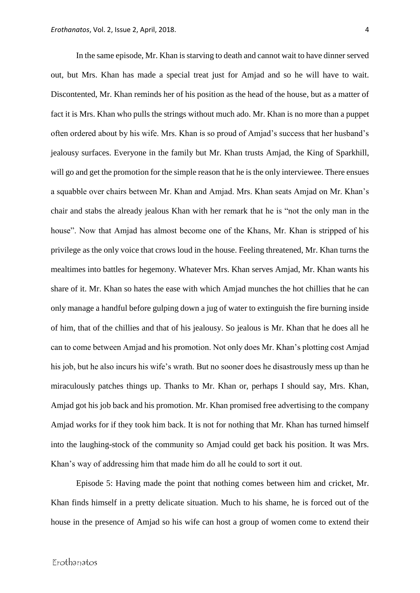In the same episode, Mr. Khan is starving to death and cannot wait to have dinner served out, but Mrs. Khan has made a special treat just for Amjad and so he will have to wait. Discontented, Mr. Khan reminds her of his position as the head of the house, but as a matter of fact it is Mrs. Khan who pulls the strings without much ado. Mr. Khan is no more than a puppet often ordered about by his wife. Mrs. Khan is so proud of Amjad's success that her husband's jealousy surfaces. Everyone in the family but Mr. Khan trusts Amjad, the King of Sparkhill, will go and get the promotion for the simple reason that he is the only interviewee. There ensues a squabble over chairs between Mr. Khan and Amjad. Mrs. Khan seats Amjad on Mr. Khan's chair and stabs the already jealous Khan with her remark that he is "not the only man in the house". Now that Amjad has almost become one of the Khans, Mr. Khan is stripped of his privilege as the only voice that crows loud in the house. Feeling threatened, Mr. Khan turns the mealtimes into battles for hegemony. Whatever Mrs. Khan serves Amjad, Mr. Khan wants his share of it. Mr. Khan so hates the ease with which Amjad munches the hot chillies that he can only manage a handful before gulping down a jug of water to extinguish the fire burning inside of him, that of the chillies and that of his jealousy. So jealous is Mr. Khan that he does all he can to come between Amjad and his promotion. Not only does Mr. Khan's plotting cost Amjad his job, but he also incurs his wife's wrath. But no sooner does he disastrously mess up than he miraculously patches things up. Thanks to Mr. Khan or, perhaps I should say, Mrs. Khan, Amjad got his job back and his promotion. Mr. Khan promised free advertising to the company Amjad works for if they took him back. It is not for nothing that Mr. Khan has turned himself into the laughing-stock of the community so Amjad could get back his position. It was Mrs. Khan's way of addressing him that made him do all he could to sort it out.

Episode 5: Having made the point that nothing comes between him and cricket, Mr. Khan finds himself in a pretty delicate situation. Much to his shame, he is forced out of the house in the presence of Amjad so his wife can host a group of women come to extend their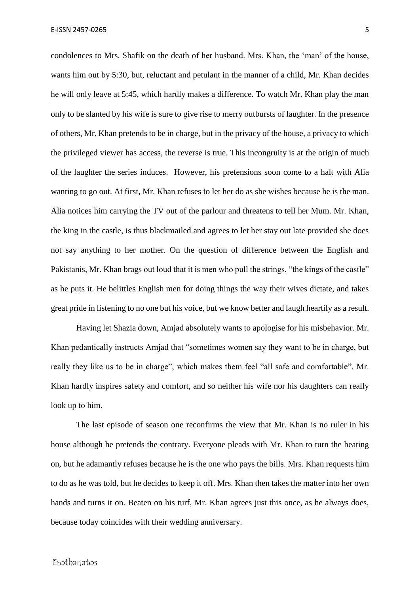condolences to Mrs. Shafik on the death of her husband. Mrs. Khan, the 'man' of the house, wants him out by 5:30, but, reluctant and petulant in the manner of a child, Mr. Khan decides he will only leave at 5:45, which hardly makes a difference. To watch Mr. Khan play the man only to be slanted by his wife is sure to give rise to merry outbursts of laughter. In the presence of others, Mr. Khan pretends to be in charge, but in the privacy of the house, a privacy to which the privileged viewer has access, the reverse is true. This incongruity is at the origin of much of the laughter the series induces. However, his pretensions soon come to a halt with Alia wanting to go out. At first, Mr. Khan refuses to let her do as she wishes because he is the man. Alia notices him carrying the TV out of the parlour and threatens to tell her Mum. Mr. Khan, the king in the castle, is thus blackmailed and agrees to let her stay out late provided she does not say anything to her mother. On the question of difference between the English and Pakistanis, Mr. Khan brags out loud that it is men who pull the strings, "the kings of the castle" as he puts it. He belittles English men for doing things the way their wives dictate, and takes great pride in listening to no one but his voice, but we know better and laugh heartily as a result.

Having let Shazia down, Amjad absolutely wants to apologise for his misbehavior. Mr. Khan pedantically instructs Amjad that "sometimes women say they want to be in charge, but really they like us to be in charge", which makes them feel "all safe and comfortable". Mr. Khan hardly inspires safety and comfort, and so neither his wife nor his daughters can really look up to him.

The last episode of season one reconfirms the view that Mr. Khan is no ruler in his house although he pretends the contrary. Everyone pleads with Mr. Khan to turn the heating on, but he adamantly refuses because he is the one who pays the bills. Mrs. Khan requests him to do as he was told, but he decides to keep it off. Mrs. Khan then takes the matter into her own hands and turns it on. Beaten on his turf, Mr. Khan agrees just this once, as he always does, because today coincides with their wedding anniversary.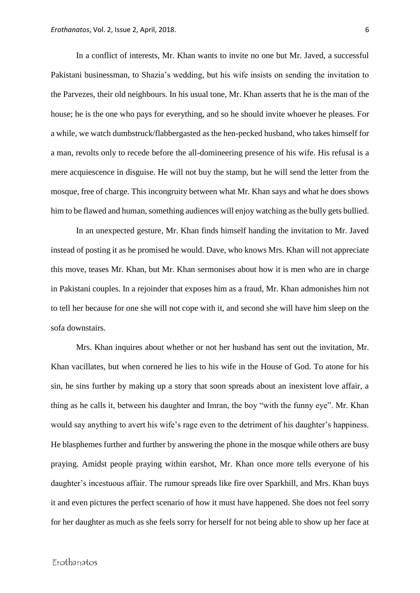In a conflict of interests, Mr. Khan wants to invite no one but Mr. Javed, a successful Pakistani businessman, to Shazia's wedding, but his wife insists on sending the invitation to the Parvezes, their old neighbours. In his usual tone, Mr. Khan asserts that he is the man of the house; he is the one who pays for everything, and so he should invite whoever he pleases. For a while, we watch dumbstruck/flabbergasted as the hen-pecked husband, who takes himself for a man, revolts only to recede before the all-domineering presence of his wife. His refusal is a mere acquiescence in disguise. He will not buy the stamp, but he will send the letter from the mosque, free of charge. This incongruity between what Mr. Khan says and what he does shows him to be flawed and human, something audiences will enjoy watching as the bully gets bullied.

In an unexpected gesture, Mr. Khan finds himself handing the invitation to Mr. Javed instead of posting it as he promised he would. Dave, who knows Mrs. Khan will not appreciate this move, teases Mr. Khan, but Mr. Khan sermonises about how it is men who are in charge in Pakistani couples. In a rejoinder that exposes him as a fraud, Mr. Khan admonishes him not to tell her because for one she will not cope with it, and second she will have him sleep on the sofa downstairs.

Mrs. Khan inquires about whether or not her husband has sent out the invitation, Mr. Khan vacillates, but when cornered he lies to his wife in the House of God. To atone for his sin, he sins further by making up a story that soon spreads about an inexistent love affair, a thing as he calls it, between his daughter and Imran, the boy "with the funny eye". Mr. Khan would say anything to avert his wife's rage even to the detriment of his daughter's happiness. He blasphemes further and further by answering the phone in the mosque while others are busy praying. Amidst people praying within earshot, Mr. Khan once more tells everyone of his daughter's incestuous affair. The rumour spreads like fire over Sparkhill, and Mrs. Khan buys it and even pictures the perfect scenario of how it must have happened. She does not feel sorry for her daughter as much as she feels sorry for herself for not being able to show up her face at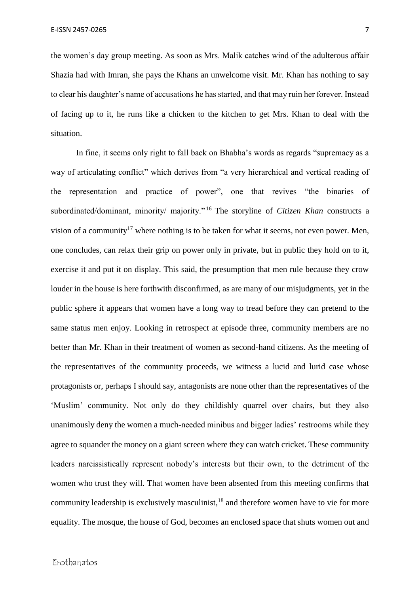the women's day group meeting. As soon as Mrs. Malik catches wind of the adulterous affair Shazia had with Imran, she pays the Khans an unwelcome visit. Mr. Khan has nothing to say to clear his daughter's name of accusations he has started, and that may ruin her forever. Instead of facing up to it, he runs like a chicken to the kitchen to get Mrs. Khan to deal with the situation.

In fine, it seems only right to fall back on Bhabha's words as regards "supremacy as a way of articulating conflict" which derives from "a very hierarchical and vertical reading of the representation and practice of power", one that revives "the binaries of subordinated/dominant, minority/ majority." <sup>16</sup> The storyline of *Citizen Khan* constructs a vision of a community<sup>17</sup> where nothing is to be taken for what it seems, not even power. Men, one concludes, can relax their grip on power only in private, but in public they hold on to it, exercise it and put it on display. This said, the presumption that men rule because they crow louder in the house is here forthwith disconfirmed, as are many of our misjudgments, yet in the public sphere it appears that women have a long way to tread before they can pretend to the same status men enjoy. Looking in retrospect at episode three, community members are no better than Mr. Khan in their treatment of women as second-hand citizens. As the meeting of the representatives of the community proceeds, we witness a lucid and lurid case whose protagonists or, perhaps I should say, antagonists are none other than the representatives of the 'Muslim' community. Not only do they childishly quarrel over chairs, but they also unanimously deny the women a much-needed minibus and bigger ladies' restrooms while they agree to squander the money on a giant screen where they can watch cricket. These community leaders narcissistically represent nobody's interests but their own, to the detriment of the women who trust they will. That women have been absented from this meeting confirms that community leadership is exclusively masculinist, $18$  and therefore women have to vie for more equality. The mosque, the house of God, becomes an enclosed space that shuts women out and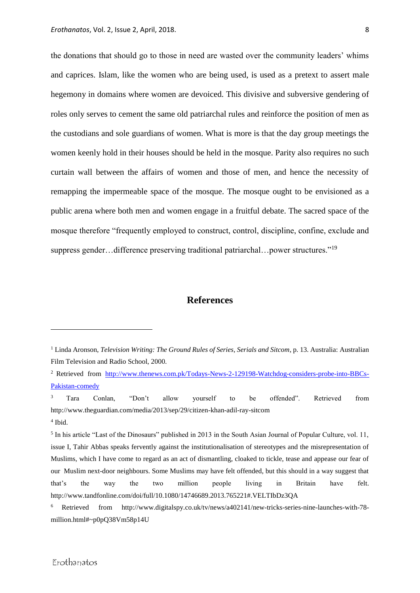the donations that should go to those in need are wasted over the community leaders' whims and caprices. Islam, like the women who are being used, is used as a pretext to assert male hegemony in domains where women are devoiced. This divisive and subversive gendering of roles only serves to cement the same old patriarchal rules and reinforce the position of men as the custodians and sole guardians of women. What is more is that the day group meetings the women keenly hold in their houses should be held in the mosque. Parity also requires no such curtain wall between the affairs of women and those of men, and hence the necessity of remapping the impermeable space of the mosque. The mosque ought to be envisioned as a public arena where both men and women engage in a fruitful debate. The sacred space of the mosque therefore "frequently employed to construct, control, discipline, confine, exclude and suppress gender…difference preserving traditional patriarchal…power structures."<sup>19</sup>

### **References**

<sup>3</sup> Tara Conlan, "Don't allow yourself to be offended". Retrieved from <http://www.theguardian.com/media/2013/sep/29/citizen-khan-adil-ray-sitcom> 4 Ibid.

1

<sup>1</sup> Linda Aronson, *Television Writing: The Ground Rules of Series, Serials and Sitcom*, p. 13. Australia: Australian Film Television and Radio School, 2000.

<sup>2</sup> Retrieved from [http://www.thenews.com.pk/Todays-News-2-129198-Watchdog-considers-probe-into-BBCs-](http://www.thenews.com.pk/Todays-News-2-129198-Watchdog-considers-probe-into-BBCs-Pakistan-comedy)[Pakistan-comedy](http://www.thenews.com.pk/Todays-News-2-129198-Watchdog-considers-probe-into-BBCs-Pakistan-comedy)

<sup>&</sup>lt;sup>5</sup> In his article "Last of the Dinosaurs" published in 2013 in the South Asian Journal of Popular Culture, vol. 11, issue I, Tahir Abbas speaks fervently against the institutionalisation of stereotypes and the misrepresentation of Muslims, which I have come to regard as an act of dismantling, cloaked to tickle, tease and appease our fear of our Muslim next-door neighbours. Some Muslims may have felt offended, but this should in a way suggest that that's the way the two million people living in Britain have felt. http://www.tandfonline.com/doi/full/10.1080/14746689.2013.765221#.VELTIbDz3QA

<sup>6</sup> Retrieved from [http://www.digitalspy.co.uk/tv/news/a402141/new-tricks-series-nine-launches-with-78](http://www.digitalspy.co.uk/tv/news/a402141/new-tricks-series-nine-launches-with-78-million.html#~p0pQ38Vm58p14U) [million.html#~p0pQ38Vm58p14U](http://www.digitalspy.co.uk/tv/news/a402141/new-tricks-series-nine-launches-with-78-million.html#~p0pQ38Vm58p14U)